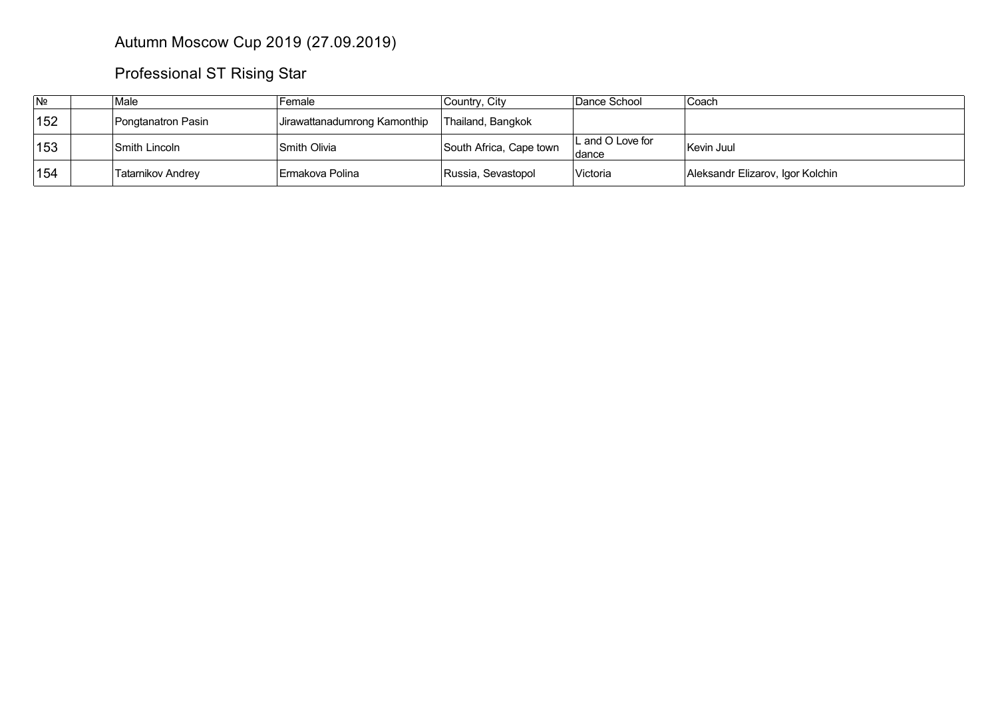## Autumn Moscow Cup 2019 (27.09.2019)

Professional ST Rising Star

| N <sub>2</sub> | Male               | Female                       | Country, City           | Dance School               | 'Coach                           |
|----------------|--------------------|------------------------------|-------------------------|----------------------------|----------------------------------|
| 152            | Pongtanatron Pasin | Jirawattanadumrong Kamonthip | Thailand, Bangkok       |                            |                                  |
| 153            | Smith Lincoln      | Smith Olivia                 | South Africa, Cape town | L and O Love for<br>∣dance | ∣Kevin Juul                      |
| 154            | Tatarnikov Andrey  | Ermakova Polina              | Russia, Sevastopol      | l Victoria                 | Aleksandr Elizarov, Igor Kolchin |